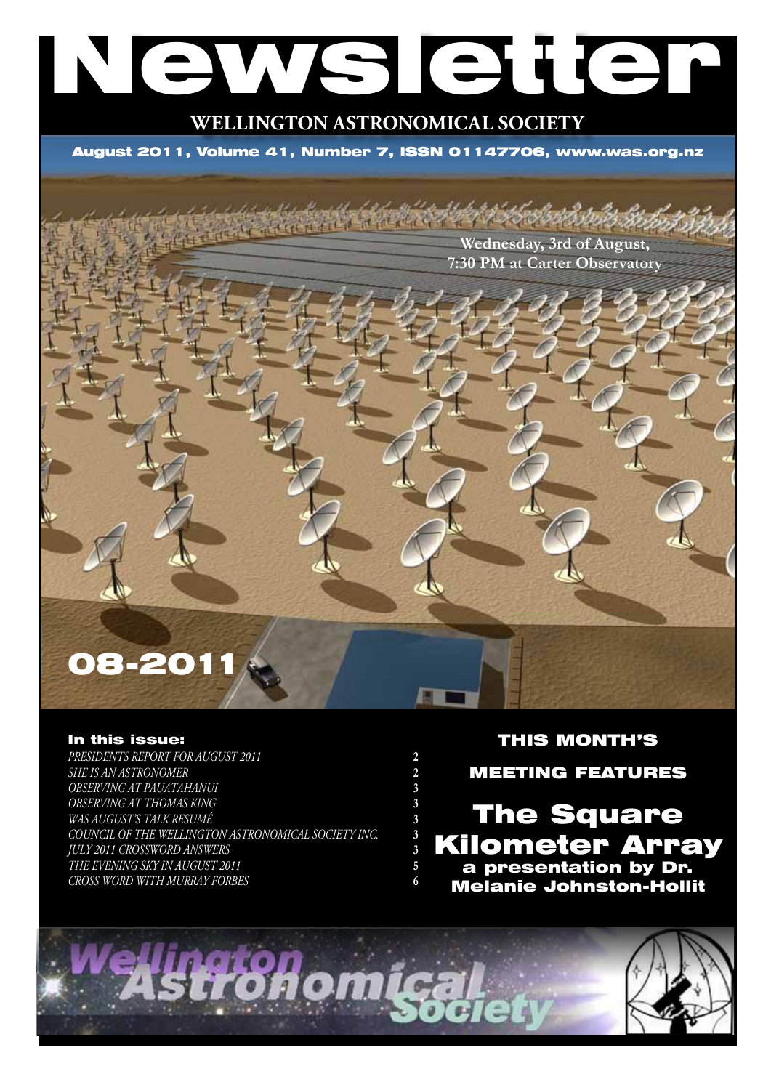# Newsletter

# **WELLINGTON ASTRONOMICAL SOCIETY**

August 2011, Volume 41, Number 7, ISSN 01147706, www.was.org.nz

**Wednesday, 3rd of August, 7:30 PM at Carter Observatory**

# 08-201

#### In this issue:

**PRESIDENTS REPORT FOR AUGUST 2011** *She is an astronomer* **2** *OBSERVING AT PAUATAHANUI* **3** *OBSERVING AT THOMAS KING* **3** *WAS August's talk resumé* **3** *COUNCIL OF THE WELLINGTON ASTRONOMICAL SOCIETY INC.* **3** *July 2011 Crossword answers* **3** *The Evening Sky in August 2011* **5** *Cross Word with Murray Forbes* **6**

### THIS MONTH'S

MEETING FEATURES

# The Square Kilometer Array a presentation by Dr. Melanie Johnston-Hollit

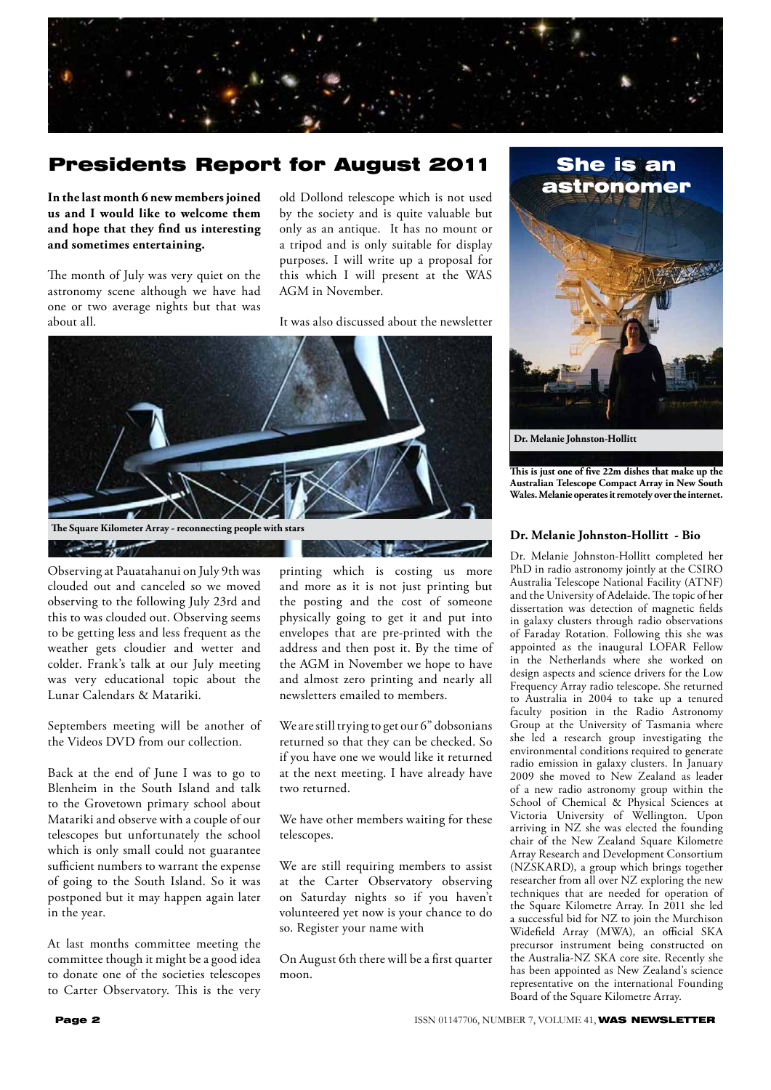

# Presidents Report for August 2011

**In the last month 6 new members joined us and I would like to welcome them and hope that they find us interesting and sometimes entertaining.**

The month of July was very quiet on the astronomy scene although we have had one or two average nights but that was about all.

old Dollond telescope which is not used by the society and is quite valuable but only as an antique. It has no mount or a tripod and is only suitable for display purposes. I will write up a proposal for this which I will present at the WAS AGM in November.

It was also discussed about the newsletter



Observing at Pauatahanui on July 9th was clouded out and canceled so we moved observing to the following July 23rd and this to was clouded out. Observing seems to be getting less and less frequent as the weather gets cloudier and wetter and colder. Frank's talk at our July meeting was very educational topic about the Lunar Calendars & Matariki.

Septembers meeting will be another of the Videos DVD from our collection.

Back at the end of June I was to go to Blenheim in the South Island and talk to the Grovetown primary school about Matariki and observe with a couple of our telescopes but unfortunately the school which is only small could not guarantee sufficient numbers to warrant the expense of going to the South Island. So it was postponed but it may happen again later in the year.

At last months committee meeting the committee though it might be a good idea to donate one of the societies telescopes to Carter Observatory. This is the very

printing which is costing us more and more as it is not just printing but the posting and the cost of someone physically going to get it and put into envelopes that are pre-printed with the address and then post it. By the time of the AGM in November we hope to have and almost zero printing and nearly all newsletters emailed to members.

We are still trying to get our 6" dobsonians returned so that they can be checked. So if you have one we would like it returned at the next meeting. I have already have two returned.

We have other members waiting for these telescopes.

We are still requiring members to assist at the Carter Observatory observing on Saturday nights so if you haven't volunteered yet now is your chance to do so. Register your name with

On August 6th there will be a first quarter moon.



**Dr. Melanie Johnston-Hollitt**

**This is just one of five 22m dishes that make up the Australian Telescope Compact Array in New South Wales. Melanie operates it remotely over the internet.**

#### **Dr. Melanie Johnston-Hollitt - Bio**

Dr. Melanie Johnston-Hollitt completed her PhD in radio astronomy jointly at the CSIRO Australia Telescope National Facility (ATNF) and the University of Adelaide. The topic of her dissertation was detection of magnetic fields in galaxy clusters through radio observations of Faraday Rotation. Following this she was appointed as the inaugural LOFAR Fellow in the Netherlands where she worked on design aspects and science drivers for the Low Frequency Array radio telescope. She returned to Australia in 2004 to take up a tenured faculty position in the Radio Astronomy Group at the University of Tasmania where she led a research group investigating the environmental conditions required to generate radio emission in galaxy clusters. In January 2009 she moved to New Zealand as leader of a new radio astronomy group within the School of Chemical & Physical Sciences at Victoria University of Wellington. Upon arriving in NZ she was elected the founding chair of the New Zealand Square Kilometre Array Research and Development Consortium (NZSKARD), a group which brings together researcher from all over NZ exploring the new techniques that are needed for operation of the Square Kilometre Array. In 2011 she led a successful bid for NZ to join the Murchison Widefield Array (MWA), an official SKA precursor instrument being constructed on the Australia-NZ SKA core site. Recently she has been appointed as New Zealand's science representative on the international Founding Board of the Square Kilometre Array.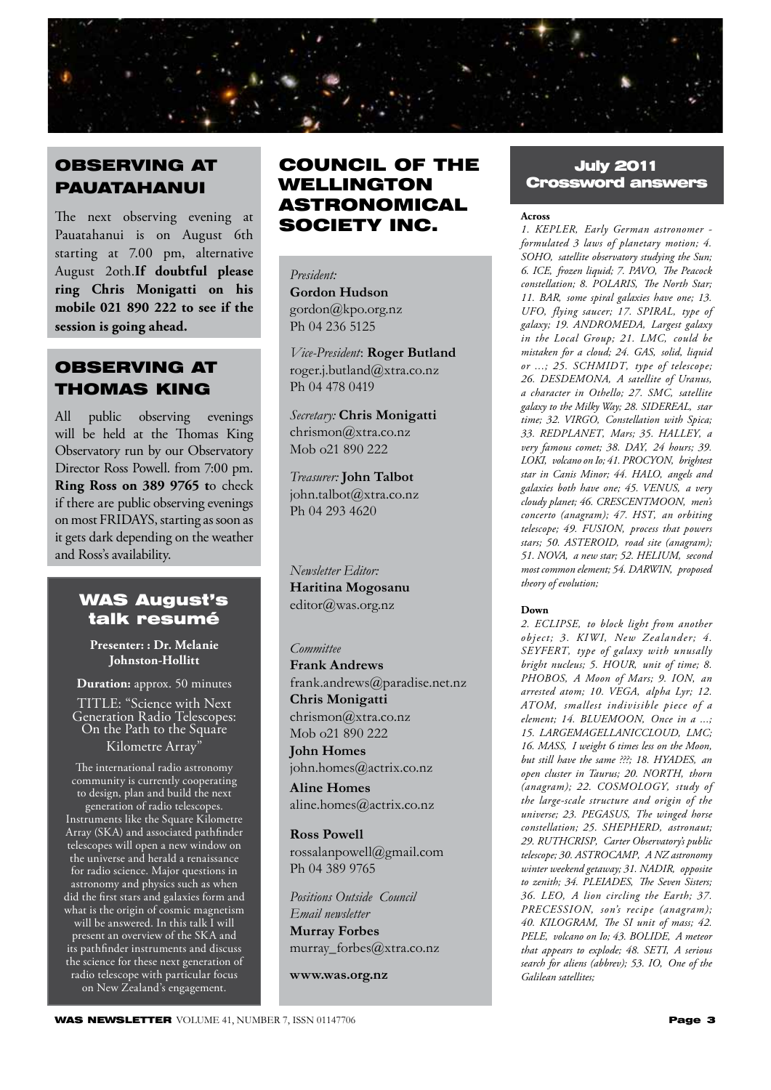

# OBSERVING AT PAUATAHANUI

The next observing evening at Pauatahanui is on August 6th starting at 7.00 pm, alternative August 2oth.**If doubtful please ring Chris Monigatti on his mobile 021 890 222 to see if the session is going ahead.**

# OBSERVING AT THOMAS KING

All public observing evenings will be held at the Thomas King Observatory run by our Observatory Director Ross Powell. from 7:00 pm. **Ring Ross on 389 9765 t**o check if there are public observing evenings on most FRIDAYS, starting as soon as it gets dark depending on the weather and Ross's availability.

### WAS August's talk resumé

**Presenter: : Dr. Melanie Johnston-Hollitt** 

**Duration:** approx. 50 minutes

TITLE: "Science with Next Generation Radio Telescopes: On the Path to the Square Kilometre Array"

The international radio astronomy community is currently cooperating to design, plan and build the next generation of radio telescopes. Instruments like the Square Kilometre Array (SKA) and associated pathfinder telescopes will open a new window on the universe and herald a renaissance for radio science. Major questions in astronomy and physics such as when did the first stars and galaxies form and what is the origin of cosmic magnetism will be answered. In this talk I will present an overview of the SKA and its pathfinder instruments and discuss the science for these next generation of radio telescope with particular focus on New Zealand's engagement.

# COUNCIL OF THE WELLINGTON ASTRONOMICAL SOCIETY INC.

*President:*  **Gordon Hudson** gordon@kpo.org.nz Ph 04 236 5125

*Vice-President*: **Roger Butland** roger.j.butland@xtra.co.nz Ph 04 478 0419

*Secretary:* **Chris Monigatti** chrismon@xtra.co.nz Mob o21 890 222

*Treasurer:* **John Talbot** john.talbot@xtra.co.nz Ph 04 293 4620

*Newsletter Editor:*  **Haritina Mogosanu** editor@was.org.nz

#### *Committee*

**Frank Andrews** frank.andrews@paradise.net.nz **Chris Monigatti** chrismon@xtra.co.nz Mob o21 890 222

**John Homes** john.homes@actrix.co.nz **Aline Homes**

aline.homes@actrix.co.nz

**Ross Powell** rossalanpowell@gmail.com Ph 04 389 9765

*Positions Outside Council Email newsletter* **Murray Forbes** murray\_forbes@xtra.co.nz

**www.was.org.nz**

### July 2011 Crossword answers

#### **Across**

*1. KEPLER' Early German astronomer formulated 3 laws of planetary motion; 4. SOHO' satellite observatory studying the Sun; 6. ICE' frozen liquid; 7. PAVO' The Peacock constellation; 8. POLARIS' The North Star; 11. BAR' some spiral galaxies have one; 13. UFO' flying saucer; 17. SPIRAL' type of galaxy; 19. ANDROMEDA' Largest galaxy in the Local Group; 21. LMC' could be mistaken for a cloud; 24. GAS' solid, liquid or ...; 25. SCHMIDT' type of telescope; 26. DESDEMONA' A satellite of Uranus, a character in Othello; 27. SMC' satellite galaxy to the Milky Way; 28. SIDEREAL' star time; 32. VIRGO' Constellation with Spica; 33. REDPLANET' Mars; 35. HALLEY' a very famous comet; 38. DAY' 24 hours; 39. LOKI' volcano on Io; 41. PROCYON' brightest star in Canis Minor; 44. HALO' angels and galaxies both have one; 45. VENUS' a very cloudy planet; 46. CRESCENTMOON' men's concerto (anagram); 47. HST' an orbiting telescope; 49. FUSION' process that powers stars; 50. ASTEROID' road site (anagram); 51. NOVA' a new star; 52. HELIUM' second most common element; 54. DARWIN' proposed theory of evolution;* 

#### **Down**

*2. ECLIPSE' to block light from another object; 3. KIWI' New Zealander; 4. SEYFERT' type of galaxy with unusally bright nucleus; 5. HOUR' unit of time; 8. PHOBOS' A Moon of Mars; 9. ION' an arrested atom; 10. VEGA' alpha Lyr; 12. ATOM' smallest indivisible piece of a element; 14. BLUEMOON' Once in a ...; 15. LARGEMAGELLANICCLOUD' LMC; 16. MASS' I weight 6 times less on the Moon,*  but still have the same ???; 18. HYADES, an *open cluster in Taurus; 20. NORTH' thorn*   $(a$ nagram); 22. COSMOLOGY, study of *the large-scale structure and origin of the universe; 23. PEGASUS' The winged horse constellation; 25. SHEPHERD' astronaut; 29. RUTHCRISP' Carter Observatory's public telescope; 30. ASTROCAMP' A NZ astronomy winter weekend getaway; 31. NADIR' opposite*  to zenith; 34. PLEIADES, The Seven Sisters; *36. LEO' A lion circling the Earth; 37. PRECESSION' son's recipe (anagram); 40. KILOGRAM' The SI unit of mass; 42. PELE' volcano on Io; 43. BOLIDE' A meteor that appears to explode; 48. SETI' A serious*  search for aliens (abbrev); 53. IO, One of the *Galilean satellites;*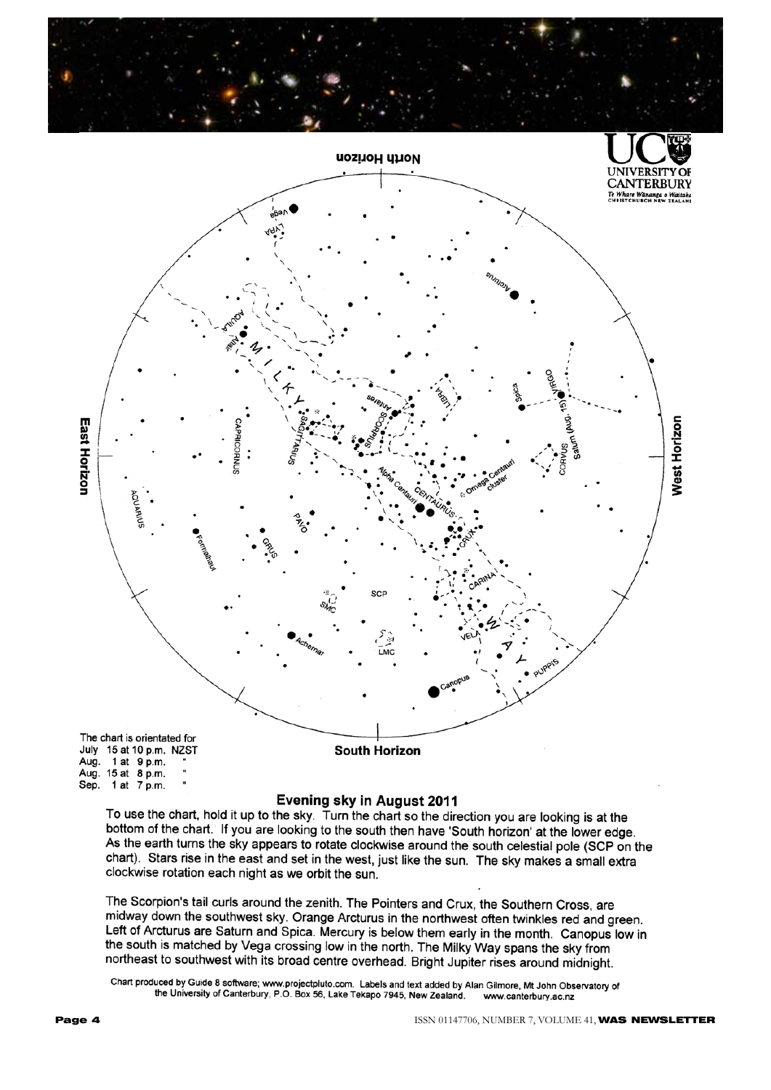



#### **Evening sky in August 2011**

To use the chart, hold it up to the sky. Turn the chart so the direction you are looking is at the bottom of the chart. If you are looking to the south then have 'South horizon' at the lower edge. As the earth turns the sky appears to rotate clockwise around the south celestial pole (SCP on the chart). Stars rise in the east and set in the west, just like the sun. The sky makes a small extra clockwise rotation each night as we orbit the sun.

The Scorpion's tail curls around the zenith. The Pointers and Crux, the Southern Cross, are midway down the southwest sky. Orange Arcturus in the northwest often twinkles red and green. Left of Arcturus are Saturn and Spica. Mercury is below them early in the month. Canopus low in the south is matched by Vega crossing low in the north. The Milky Way spans the sky from northeast to southwest with its broad centre overhead. Bright Jupiter rises around midnight.

Chart produced by Guide 8 software; www.projectpluto.com. Labels and text added by Alan Gilmore, Mt John Observatory of the University of Canterbury, P.O. Box 56, Lake Tekapo 7945, New Zealand. www.canterbury.ac.nz

Sep. 1 at 7 p.m.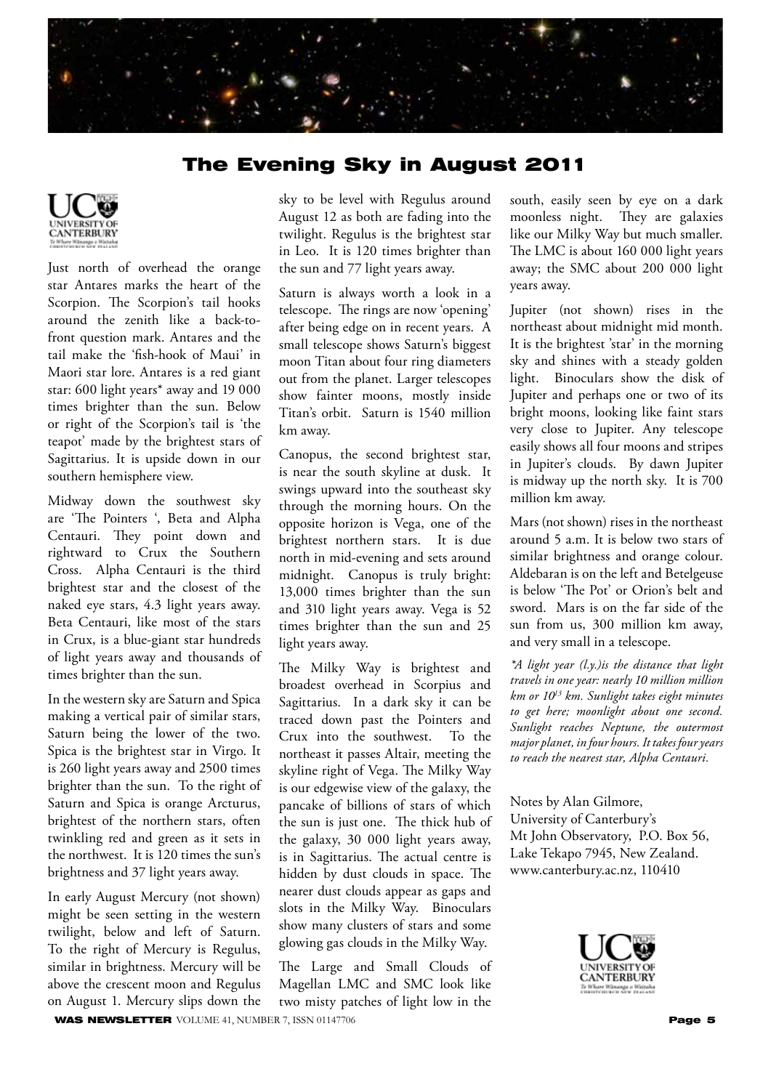

## The Evening Sky in August 2011



Just north of overhead the orange star Antares marks the heart of the Scorpion. The Scorpion's tail hooks around the zenith like a back-tofront question mark. Antares and the tail make the 'fish-hook of Maui' in Maori star lore. Antares is a red giant star: 600 light years\* away and 19 000 times brighter than the sun. Below or right of the Scorpion's tail is 'the teapot' made by the brightest stars of Sagittarius. It is upside down in our southern hemisphere view.

Midway down the southwest sky are 'The Pointers ', Beta and Alpha Centauri. They point down and rightward to Crux the Southern Cross. Alpha Centauri is the third brightest star and the closest of the naked eye stars, 4.3 light years away. Beta Centauri, like most of the stars in Crux, is a blue-giant star hundreds of light years away and thousands of times brighter than the sun.

In the western sky are Saturn and Spica making a vertical pair of similar stars, Saturn being the lower of the two. Spica is the brightest star in Virgo. It is 260 light years away and 2500 times brighter than the sun. To the right of Saturn and Spica is orange Arcturus, brightest of the northern stars, often twinkling red and green as it sets in the northwest. It is 120 times the sun's brightness and 37 light years away.

In early August Mercury (not shown) might be seen setting in the western twilight, below and left of Saturn. To the right of Mercury is Regulus, similar in brightness. Mercury will be above the crescent moon and Regulus on August 1. Mercury slips down the

sky to be level with Regulus around August 12 as both are fading into the twilight. Regulus is the brightest star in Leo. It is 120 times brighter than the sun and 77 light years away.

Saturn is always worth a look in a telescope. The rings are now 'opening' after being edge on in recent years. A small telescope shows Saturn's biggest moon Titan about four ring diameters out from the planet. Larger telescopes show fainter moons, mostly inside Titan's orbit. Saturn is 1540 million km away.

Canopus, the second brightest star, is near the south skyline at dusk. It swings upward into the southeast sky through the morning hours. On the opposite horizon is Vega, one of the brightest northern stars. It is due north in mid-evening and sets around midnight. Canopus is truly bright: 13,000 times brighter than the sun and 310 light years away. Vega is 52 times brighter than the sun and 25 light years away.

The Milky Way is brightest and broadest overhead in Scorpius and Sagittarius. In a dark sky it can be traced down past the Pointers and Crux into the southwest. To the northeast it passes Altair, meeting the skyline right of Vega. The Milky Way is our edgewise view of the galaxy, the pancake of billions of stars of which the sun is just one. The thick hub of the galaxy, 30 000 light years away, is in Sagittarius. The actual centre is hidden by dust clouds in space. The nearer dust clouds appear as gaps and slots in the Milky Way. Binoculars show many clusters of stars and some glowing gas clouds in the Milky Way.

WAS NEWSLETTER VOLUME 41, NUMBER 7, ISSN 01147706 **Page 5** The Large and Small Clouds of Magellan LMC and SMC look like two misty patches of light low in the

south, easily seen by eye on a dark moonless night. They are galaxies like our Milky Way but much smaller. The LMC is about 160 000 light years away; the SMC about 200 000 light years away.

Jupiter (not shown) rises in the northeast about midnight mid month. It is the brightest 'star' in the morning sky and shines with a steady golden light. Binoculars show the disk of Jupiter and perhaps one or two of its bright moons, looking like faint stars very close to Jupiter. Any telescope easily shows all four moons and stripes in Jupiter's clouds. By dawn Jupiter is midway up the north sky. It is 700 million km away.

Mars (not shown) rises in the northeast around 5 a.m. It is below two stars of similar brightness and orange colour. Aldebaran is on the left and Betelgeuse is below 'The Pot' or Orion's belt and sword. Mars is on the far side of the sun from us, 300 million km away, and very small in a telescope.

*\*A light year (l.y.)is the distance that light travels in one year: nearly 10 million million km or 1013 km. Sunlight takes eight minutes to get here; moonlight about one second. Sunlight reaches Neptune, the outermost major planet, in four hours. It takes four years to reach the nearest star, Alpha Centauri.*

Notes by Alan Gilmore, University of Canterbury's Mt John Observatory, P.O. Box 56, Lake Tekapo 7945, New Zealand. www.canterbury.ac.nz, 110410